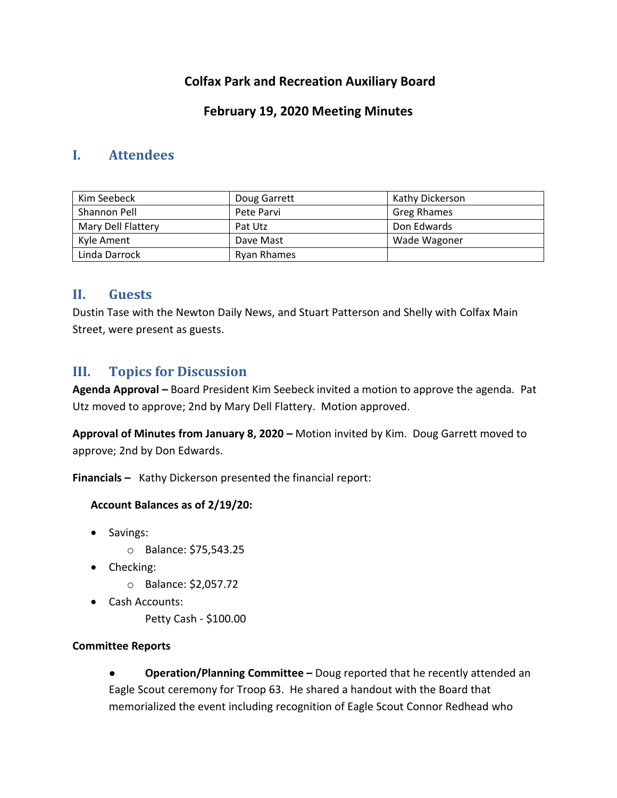# **Colfax Park and Recreation Auxiliary Board**

# **February 19, 2020 Meeting Minutes**

## **I. Attendees**

| Kim Seebeck        | Doug Garrett       | Kathy Dickerson    |
|--------------------|--------------------|--------------------|
| Shannon Pell       | Pete Parvi         | <b>Greg Rhames</b> |
| Mary Dell Flattery | Pat Utz            | Don Edwards        |
| Kyle Ament         | Dave Mast          | Wade Wagoner       |
| Linda Darrock      | <b>Ryan Rhames</b> |                    |

## **II. Guests**

Dustin Tase with the Newton Daily News, and Stuart Patterson and Shelly with Colfax Main Street, were present as guests.

# **III. Topics for Discussion**

**Agenda Approval –** Board President Kim Seebeck invited a motion to approve the agenda. Pat Utz moved to approve; 2nd by Mary Dell Flattery. Motion approved.

**Approval of Minutes from January 8, 2020 –** Motion invited by Kim. Doug Garrett moved to approve; 2nd by Don Edwards.

**Financials –** Kathy Dickerson presented the financial report:

### **Account Balances as of 2/19/20:**

- Savings:
	- o Balance: \$75,543.25
- Checking:
	- o Balance: \$2,057.72
- Cash Accounts:

Petty Cash - \$100.00

### **Committee Reports**

**Operation/Planning Committee** – Doug reported that he recently attended an Eagle Scout ceremony for Troop 63. He shared a handout with the Board that memorialized the event including recognition of Eagle Scout Connor Redhead who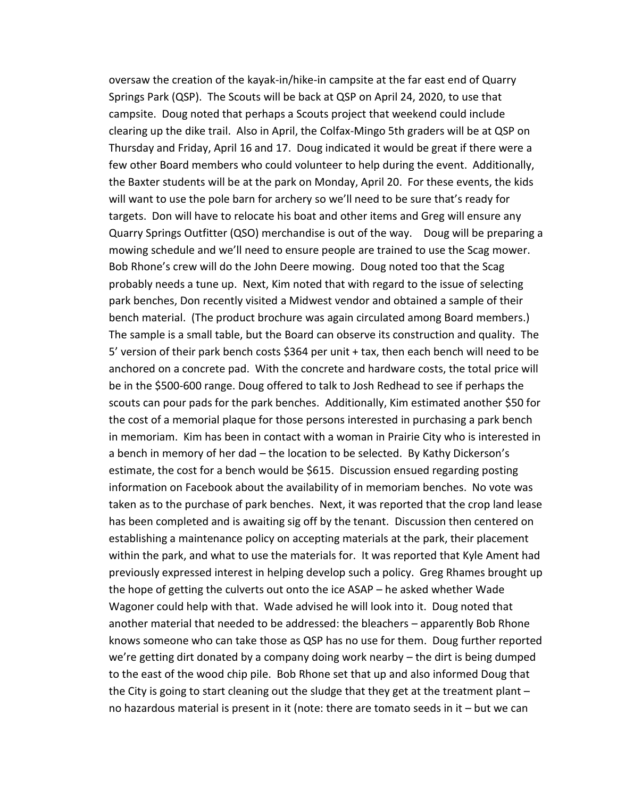oversaw the creation of the kayak-in/hike-in campsite at the far east end of Quarry Springs Park (QSP). The Scouts will be back at QSP on April 24, 2020, to use that campsite. Doug noted that perhaps a Scouts project that weekend could include clearing up the dike trail. Also in April, the Colfax-Mingo 5th graders will be at QSP on Thursday and Friday, April 16 and 17. Doug indicated it would be great if there were a few other Board members who could volunteer to help during the event. Additionally, the Baxter students will be at the park on Monday, April 20. For these events, the kids will want to use the pole barn for archery so we'll need to be sure that's ready for targets. Don will have to relocate his boat and other items and Greg will ensure any Quarry Springs Outfitter (QSO) merchandise is out of the way. Doug will be preparing a mowing schedule and we'll need to ensure people are trained to use the Scag mower. Bob Rhone's crew will do the John Deere mowing. Doug noted too that the Scag probably needs a tune up. Next, Kim noted that with regard to the issue of selecting park benches, Don recently visited a Midwest vendor and obtained a sample of their bench material. (The product brochure was again circulated among Board members.) The sample is a small table, but the Board can observe its construction and quality. The 5' version of their park bench costs \$364 per unit + tax, then each bench will need to be anchored on a concrete pad. With the concrete and hardware costs, the total price will be in the \$500-600 range. Doug offered to talk to Josh Redhead to see if perhaps the scouts can pour pads for the park benches. Additionally, Kim estimated another \$50 for the cost of a memorial plaque for those persons interested in purchasing a park bench in memoriam. Kim has been in contact with a woman in Prairie City who is interested in a bench in memory of her dad – the location to be selected. By Kathy Dickerson's estimate, the cost for a bench would be \$615. Discussion ensued regarding posting information on Facebook about the availability of in memoriam benches. No vote was taken as to the purchase of park benches. Next, it was reported that the crop land lease has been completed and is awaiting sig off by the tenant. Discussion then centered on establishing a maintenance policy on accepting materials at the park, their placement within the park, and what to use the materials for. It was reported that Kyle Ament had previously expressed interest in helping develop such a policy. Greg Rhames brought up the hope of getting the culverts out onto the ice ASAP – he asked whether Wade Wagoner could help with that. Wade advised he will look into it. Doug noted that another material that needed to be addressed: the bleachers – apparently Bob Rhone knows someone who can take those as QSP has no use for them. Doug further reported we're getting dirt donated by a company doing work nearby – the dirt is being dumped to the east of the wood chip pile. Bob Rhone set that up and also informed Doug that the City is going to start cleaning out the sludge that they get at the treatment plant – no hazardous material is present in it (note: there are tomato seeds in it – but we can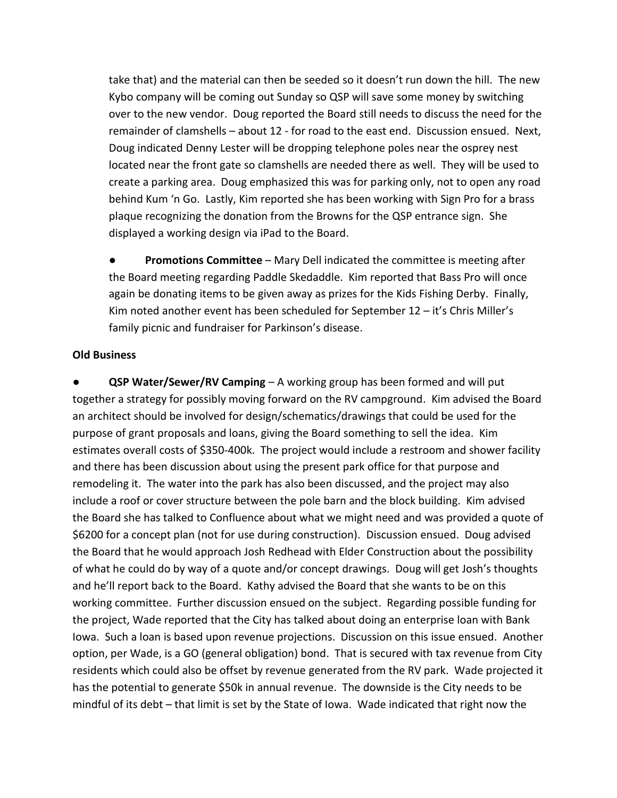take that) and the material can then be seeded so it doesn't run down the hill. The new Kybo company will be coming out Sunday so QSP will save some money by switching over to the new vendor. Doug reported the Board still needs to discuss the need for the remainder of clamshells – about 12 - for road to the east end. Discussion ensued. Next, Doug indicated Denny Lester will be dropping telephone poles near the osprey nest located near the front gate so clamshells are needed there as well. They will be used to create a parking area. Doug emphasized this was for parking only, not to open any road behind Kum 'n Go. Lastly, Kim reported she has been working with Sign Pro for a brass plaque recognizing the donation from the Browns for the QSP entrance sign. She displayed a working design via iPad to the Board.

● **Promotions Committee** – Mary Dell indicated the committee is meeting after the Board meeting regarding Paddle Skedaddle. Kim reported that Bass Pro will once again be donating items to be given away as prizes for the Kids Fishing Derby. Finally, Kim noted another event has been scheduled for September 12 – it's Chris Miller's family picnic and fundraiser for Parkinson's disease.

#### **Old Business**

**QSP Water/Sewer/RV Camping** – A working group has been formed and will put together a strategy for possibly moving forward on the RV campground. Kim advised the Board an architect should be involved for design/schematics/drawings that could be used for the purpose of grant proposals and loans, giving the Board something to sell the idea. Kim estimates overall costs of \$350-400k. The project would include a restroom and shower facility and there has been discussion about using the present park office for that purpose and remodeling it. The water into the park has also been discussed, and the project may also include a roof or cover structure between the pole barn and the block building. Kim advised the Board she has talked to Confluence about what we might need and was provided a quote of \$6200 for a concept plan (not for use during construction). Discussion ensued. Doug advised the Board that he would approach Josh Redhead with Elder Construction about the possibility of what he could do by way of a quote and/or concept drawings. Doug will get Josh's thoughts and he'll report back to the Board. Kathy advised the Board that she wants to be on this working committee. Further discussion ensued on the subject. Regarding possible funding for the project, Wade reported that the City has talked about doing an enterprise loan with Bank Iowa. Such a loan is based upon revenue projections. Discussion on this issue ensued. Another option, per Wade, is a GO (general obligation) bond. That is secured with tax revenue from City residents which could also be offset by revenue generated from the RV park. Wade projected it has the potential to generate \$50k in annual revenue. The downside is the City needs to be mindful of its debt – that limit is set by the State of Iowa. Wade indicated that right now the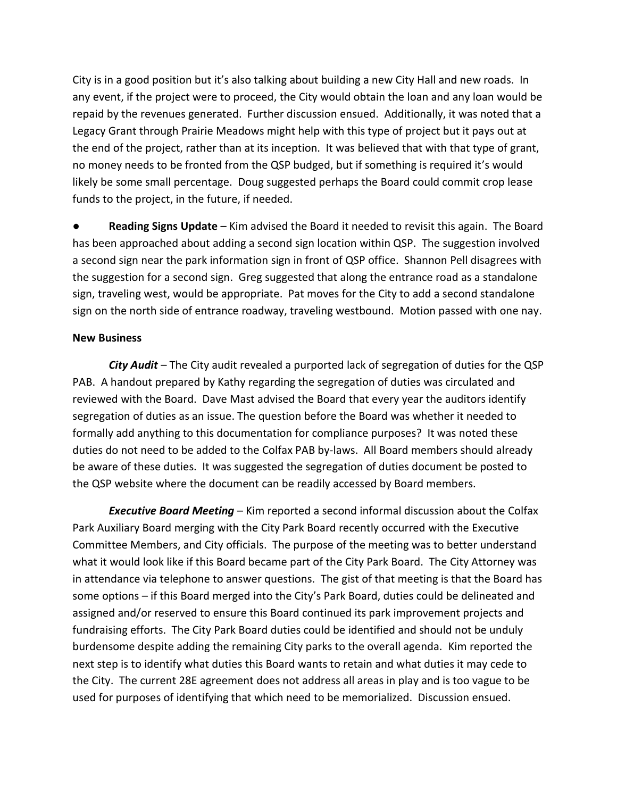City is in a good position but it's also talking about building a new City Hall and new roads. In any event, if the project were to proceed, the City would obtain the loan and any loan would be repaid by the revenues generated. Further discussion ensued. Additionally, it was noted that a Legacy Grant through Prairie Meadows might help with this type of project but it pays out at the end of the project, rather than at its inception. It was believed that with that type of grant, no money needs to be fronted from the QSP budged, but if something is required it's would likely be some small percentage. Doug suggested perhaps the Board could commit crop lease funds to the project, in the future, if needed.

**Reading Signs Update** – Kim advised the Board it needed to revisit this again. The Board has been approached about adding a second sign location within QSP. The suggestion involved a second sign near the park information sign in front of QSP office. Shannon Pell disagrees with the suggestion for a second sign. Greg suggested that along the entrance road as a standalone sign, traveling west, would be appropriate. Pat moves for the City to add a second standalone sign on the north side of entrance roadway, traveling westbound. Motion passed with one nay.

#### **New Business**

*City Audit* – The City audit revealed a purported lack of segregation of duties for the QSP PAB. A handout prepared by Kathy regarding the segregation of duties was circulated and reviewed with the Board. Dave Mast advised the Board that every year the auditors identify segregation of duties as an issue. The question before the Board was whether it needed to formally add anything to this documentation for compliance purposes? It was noted these duties do not need to be added to the Colfax PAB by-laws. All Board members should already be aware of these duties. It was suggested the segregation of duties document be posted to the QSP website where the document can be readily accessed by Board members.

*Executive Board Meeting* – Kim reported a second informal discussion about the Colfax Park Auxiliary Board merging with the City Park Board recently occurred with the Executive Committee Members, and City officials. The purpose of the meeting was to better understand what it would look like if this Board became part of the City Park Board. The City Attorney was in attendance via telephone to answer questions. The gist of that meeting is that the Board has some options – if this Board merged into the City's Park Board, duties could be delineated and assigned and/or reserved to ensure this Board continued its park improvement projects and fundraising efforts. The City Park Board duties could be identified and should not be unduly burdensome despite adding the remaining City parks to the overall agenda. Kim reported the next step is to identify what duties this Board wants to retain and what duties it may cede to the City. The current 28E agreement does not address all areas in play and is too vague to be used for purposes of identifying that which need to be memorialized. Discussion ensued.